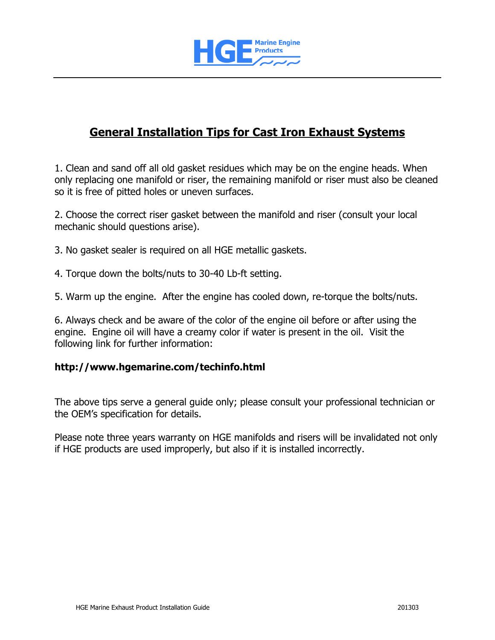

# **General Installation Tips for Cast Iron Exhaust Systems**

1. Clean and sand off all old gasket residues which may be on the engine heads. When only replacing one manifold or riser, the remaining manifold or riser must also be cleaned so it is free of pitted holes or uneven surfaces.

2. Choose the correct riser gasket between the manifold and riser (consult your local mechanic should questions arise).

- 3. No gasket sealer is required on all HGE metallic gaskets.
- 4. Torque down the bolts/nuts to 30-40 Lb-ft setting.
- 5. Warm up the engine. After the engine has cooled down, re-torque the bolts/nuts.

6. Always check and be aware of the color of the engine oil before or after using the engine. Engine oil will have a creamy color if water is present in the oil. Visit the following link for further information:

#### **http://www.hgemarine.com/techinfo.html**

The above tips serve a general guide only; please consult your professional technician or the OEM's specification for details.

Please note three years warranty on HGE manifolds and risers will be invalidated not only if HGE products are used improperly, but also if it is installed incorrectly.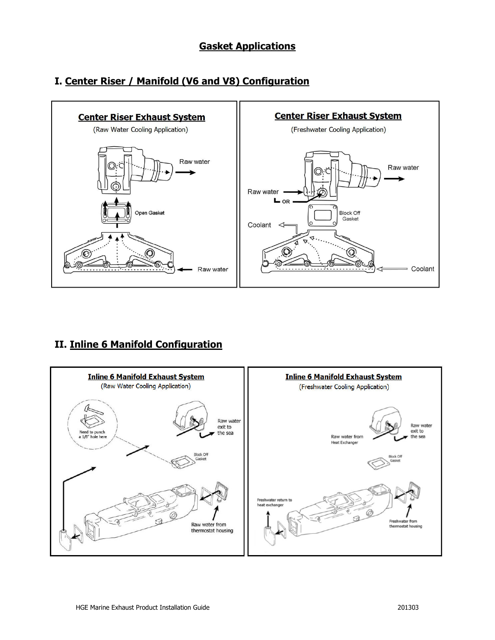## **Gasket Applications**

# **Center Riser Exhaust System Center Riser Exhaust System** (Raw Water Cooling Application) (Freshwater Cooling Application) Raw water Raw water Raw water  $L_{OR}$ Open Gasket Block Off<br>Gasket Coolant  $\triangleleft$ Coolant Raw water

# **I. Center Riser / Manifold (V6 and V8) Configuration**

## **II. Inline 6 Manifold Configuration**

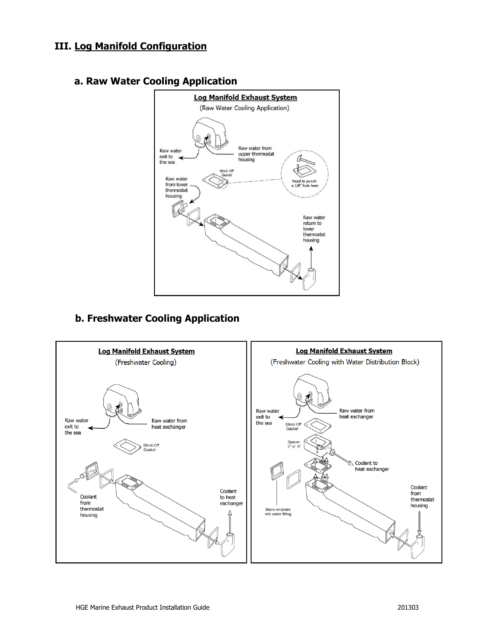## **III. Log Manifold Configuration**



#### **a. Raw Water Cooling Application**

## **b. Freshwater Cooling Application**